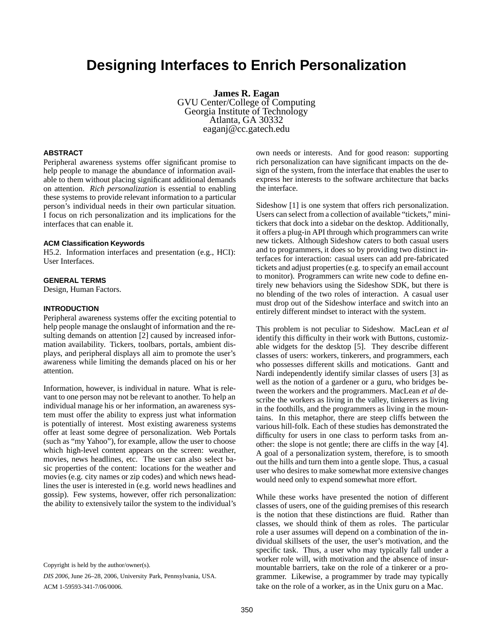# **Designing Interfaces to Enrich Personalization**

**James R. Eagan** GVU Center/College of Computing Georgia Institute of Technology Atlanta, GA 30332 eaganj@cc.gatech.edu

## **ABSTRACT**

Peripheral awareness systems offer significant promise to help people to manage the abundance of information available to them without placing significant additional demands on attention. *Rich personalization* is essential to enabling these systems to provide relevant information to a particular person's individual needs in their own particular situation. I focus on rich personalization and its implications for the interfaces that can enable it.

## **ACM Classification Keywords**

H5.2. Information interfaces and presentation (e.g., HCI): User Interfaces.

# **GENERAL TERMS**

Design, Human Factors.

#### **INTRODUCTION**

Peripheral awareness systems offer the exciting potential to help people manage the onslaught of information and the resulting demands on attention [2] caused by increased information availability. Tickers, toolbars, portals, ambient displays, and peripheral displays all aim to promote the user's awareness while limiting the demands placed on his or her attention.

Information, however, is individual in nature. What is relevant to one person may not be relevant to another. To help an individual manage his or her information, an awareness system must offer the ability to express just what information is potentially of interest. Most existing awareness systems offer at least some degree of personalization. Web Portals (such as "my Yahoo"), for example, allow the user to choose which high-level content appears on the screen: weather, movies, news headlines, etc. The user can also select basic properties of the content: locations for the weather and movies (e.g. city names or zip codes) and which news headlines the user is interested in (e.g. world news headlines and gossip). Few systems, however, offer rich personalization: the ability to extensively tailor the system to the individual's

Copyright is held by the author/owner(s).

*DIS 2006*, June 26–28, 2006, University Park, Pennsylvania, USA. ACM 1-59593-341-7/06/0006.

own needs or interests. And for good reason: supporting rich personalization can have significant impacts on the design of the system, from the interface that enables the user to express her interests to the software architecture that backs the interface.

Sideshow [1] is one system that offers rich personalization. Users can select from a collection of available "tickets," minitickers that dock into a sidebar on the desktop. Additionally, it offers a plug-in API through which programmers can write new tickets. Although Sideshow caters to both casual users and to programmers, it does so by providing two distinct interfaces for interaction: casual users can add pre-fabricated tickets and adjust properties (e.g. to specify an email account to monitor). Programmers can write new code to define entirely new behaviors using the Sideshow SDK, but there is no blending of the two roles of interaction. A casual user must drop out of the Sideshow interface and switch into an entirely different mindset to interact with the system.

This problem is not peculiar to Sideshow. MacLean *et al* identify this difficulty in their work with Buttons, customizable widgets for the desktop [5]. They describe different classes of users: workers, tinkerers, and programmers, each who possesses different skills and motications. Gantt and Nardi independently identify similar classes of users [3] as well as the notion of a gardener or a guru, who bridges between the workers and the programmers. MacLean *et al* describe the workers as living in the valley, tinkerers as living in the foothills, and the programmers as living in the mountains. In this metaphor, there are steep cliffs between the various hill-folk. Each of these studies has demonstrated the difficulty for users in one class to perform tasks from another: the slope is not gentle; there are cliffs in the way [4]. A goal of a personalization system, therefore, is to smooth out the hills and turn them into a gentle slope. Thus, a casual user who desires to make somewhat more extensive changes would need only to expend somewhat more effort.

While these works have presented the notion of different classes of users, one of the guiding premises of this research is the notion that these distinctions are fluid. Rather than classes, we should think of them as roles. The particular role a user assumes will depend on a combination of the individual skillsets of the user, the user's motivation, and the specific task. Thus, a user who may typically fall under a worker role will, with motivation and the absence of insurmountable barriers, take on the role of a tinkerer or a programmer. Likewise, a programmer by trade may typically take on the role of a worker, as in the Unix guru on a Mac.